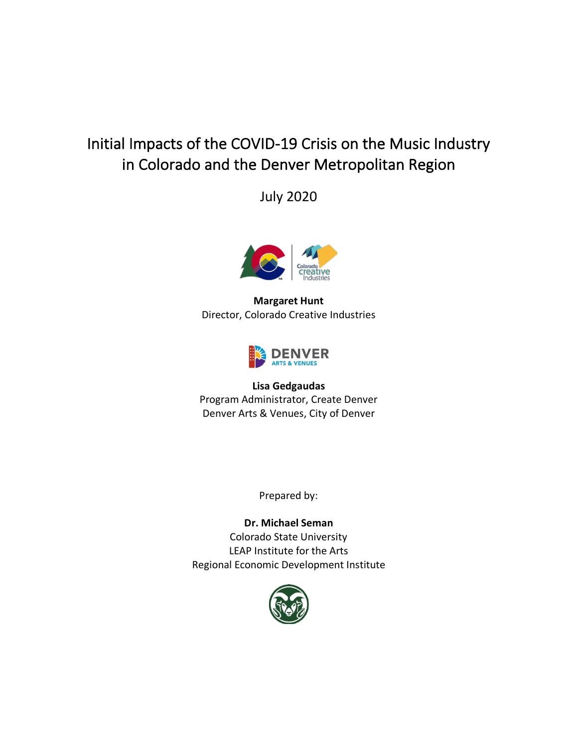# Initial Impacts of the COVID-19 Crisis on the Music Industry in Colorado and the Denver Metropolitan Region

July 2020



**Margaret Hunt** Director, Colorado Creative Industries



#### **Lisa Gedgaudas**

Program Administrator, Create Denver Denver Arts & Venues, City of Denver

Prepared by:

**Dr. Michael Seman** Colorado State University LEAP Institute for the Arts Regional Economic Development Institute

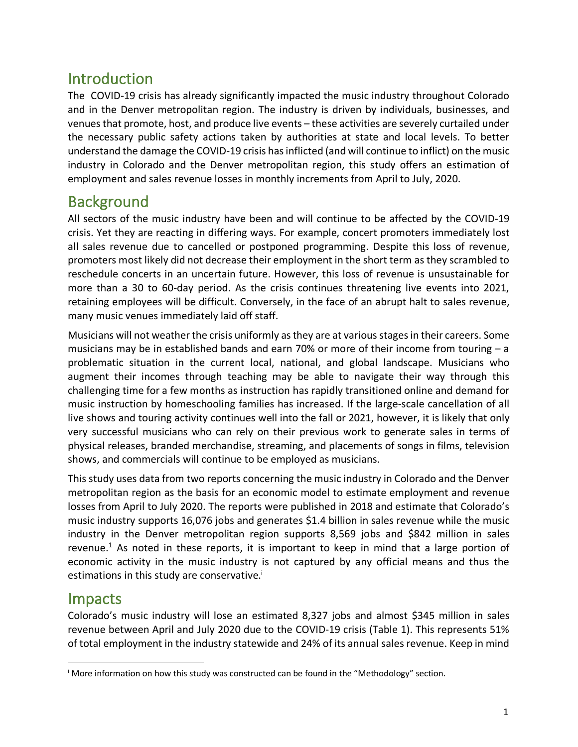### Introduction

The COVID-19 crisis has already significantly impacted the music industry throughout Colorado and in the Denver metropolitan region. The industry is driven by individuals, businesses, and venuesthat promote, host, and produce live events – these activities are severely curtailed under the necessary public safety actions taken by authorities at state and local levels. To better understand the damage the COVID-19 crisis has inflicted (and will continue to inflict) on the music industry in Colorado and the Denver metropolitan region, this study offers an estimation of employment and sales revenue losses in monthly increments from April to July, 2020.

### **Background**

All sectors of the music industry have been and will continue to be affected by the COVID-19 crisis. Yet they are reacting in differing ways. For example, concert promoters immediately lost all sales revenue due to cancelled or postponed programming. Despite this loss of revenue, promoters most likely did not decrease their employment in the short term as they scrambled to reschedule concerts in an uncertain future. However, this loss of revenue is unsustainable for more than a 30 to 60-day period. As the crisis continues threatening live events into 2021, retaining employees will be difficult. Conversely, in the face of an abrupt halt to sales revenue, many music venues immediately laid off staff.

Musicians will not weather the crisis uniformly as they are at various stages in their careers. Some musicians may be in established bands and earn 70% or more of their income from touring  $-a$ problematic situation in the current local, national, and global landscape. Musicians who augment their incomes through teaching may be able to navigate their way through this challenging time for a few months as instruction has rapidly transitioned online and demand for music instruction by homeschooling families has increased. If the large-scale cancellation of all live shows and touring activity continues well into the fall or 2021, however, it is likely that only very successful musicians who can rely on their previous work to generate sales in terms of physical releases, branded merchandise, streaming, and placements of songs in films, television shows, and commercials will continue to be employed as musicians.

This study uses data from two reports concerning the music industry in Colorado and the Denver metropolitan region as the basis for an economic model to estimate employment and revenue losses from April to July 2020. The reports were published in 2018 and estimate that Colorado's music industry supports 16,076 jobs and generates \$1.4 billion in sales revenue while the music industry in the Denver metropolitan region supports 8,569 jobs and \$842 million in sales revenue.<sup>1</sup> As noted in these reports, it is important to keep in mind that a large portion of economic activity in the music industry is not captured by any official means and thus the estimations in this study are conservative.<sup>i</sup>

### Impacts

 $\overline{a}$ 

Colorado's music industry will lose an estimated 8,327 jobs and almost \$345 million in sales revenue between April and July 2020 due to the COVID-19 crisis (Table 1). This represents 51% of total employment in the industry statewide and 24% of its annual sales revenue. Keep in mind

<sup>&</sup>lt;sup>i</sup> More information on how this study was constructed can be found in the "Methodology" section.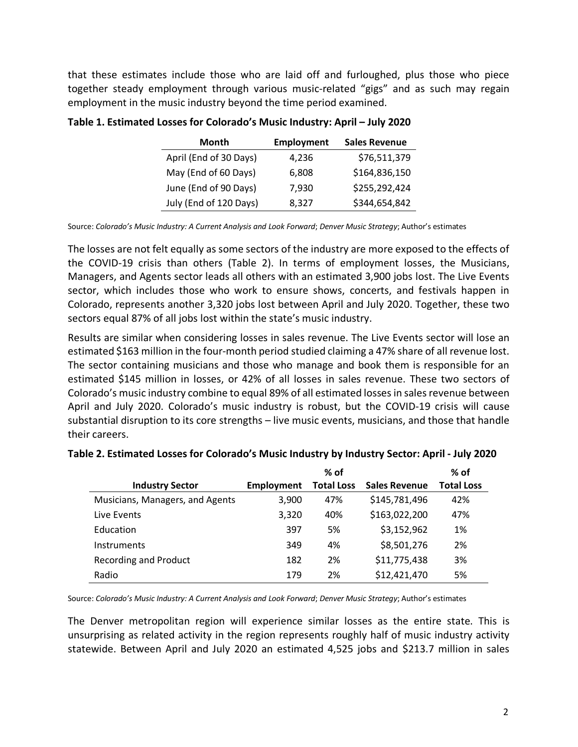that these estimates include those who are laid off and furloughed, plus those who piece together steady employment through various music-related "gigs" and as such may regain employment in the music industry beyond the time period examined.

| Month                  | Employment | <b>Sales Revenue</b> |  |
|------------------------|------------|----------------------|--|
| April (End of 30 Days) | 4,236      | \$76,511,379         |  |
| May (End of 60 Days)   | 6,808      | \$164,836,150        |  |
| June (End of 90 Days)  | 7,930      | \$255,292,424        |  |
| July (End of 120 Days) | 8,327      | \$344,654,842        |  |

#### **Table 1. Estimated Losses for Colorado's Music Industry: April – July 2020**

Source: *Colorado's Music Industry: A Current Analysis and Look Forward*; *Denver Music Strategy*; Author's estimates

The losses are not felt equally as some sectors of the industry are more exposed to the effects of the COVID-19 crisis than others (Table 2). In terms of employment losses, the Musicians, Managers, and Agents sector leads all others with an estimated 3,900 jobs lost. The Live Events sector, which includes those who work to ensure shows, concerts, and festivals happen in Colorado, represents another 3,320 jobs lost between April and July 2020. Together, these two sectors equal 87% of all jobs lost within the state's music industry.

Results are similar when considering losses in sales revenue. The Live Events sector will lose an estimated \$163 million in the four-month period studied claiming a 47% share of all revenue lost. The sector containing musicians and those who manage and book them is responsible for an estimated \$145 million in losses, or 42% of all losses in sales revenue. These two sectors of Colorado's music industry combine to equal 89% of all estimated losses in sales revenue between April and July 2020. Colorado's music industry is robust, but the COVID-19 crisis will cause substantial disruption to its core strengths – live music events, musicians, and those that handle their careers.

|                                 |                   | $%$ of            |                      | $%$ of            |
|---------------------------------|-------------------|-------------------|----------------------|-------------------|
| <b>Industry Sector</b>          | <b>Employment</b> | <b>Total Loss</b> | <b>Sales Revenue</b> | <b>Total Loss</b> |
| Musicians, Managers, and Agents | 3,900             | 47%               | \$145,781,496        | 42%               |
| Live Events                     | 3,320             | 40%               | \$163,022,200        | 47%               |
| Education                       | 397               | 5%                | \$3,152,962          | 1%                |
| <b>Instruments</b>              | 349               | 4%                | \$8,501,276          | 2%                |
| <b>Recording and Product</b>    | 182               | 2%                | \$11,775,438         | 3%                |
| Radio                           | 179               | 2%                | \$12,421,470         | 5%                |

#### **Table 2. Estimated Losses for Colorado's Music Industry by Industry Sector: April - July 2020**

Source: *Colorado's Music Industry: A Current Analysis and Look Forward*; *Denver Music Strategy*; Author's estimates

The Denver metropolitan region will experience similar losses as the entire state. This is unsurprising as related activity in the region represents roughly half of music industry activity statewide. Between April and July 2020 an estimated 4,525 jobs and \$213.7 million in sales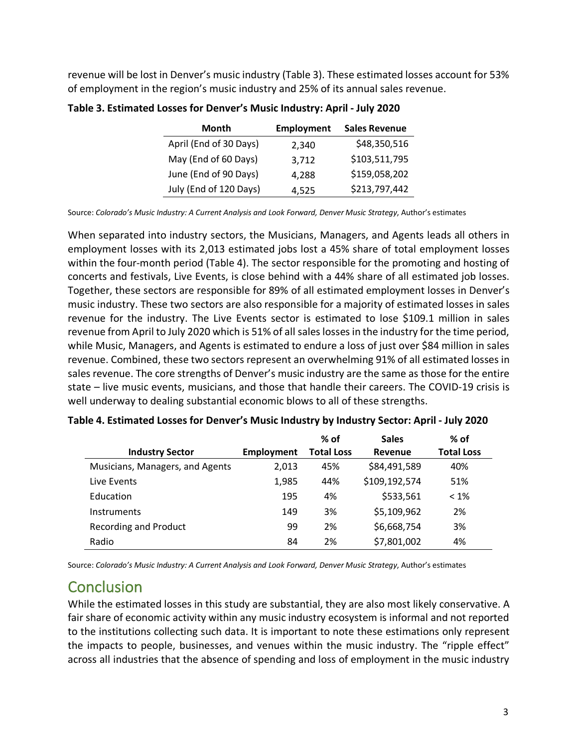revenue will be lost in Denver's music industry (Table 3). These estimated losses account for 53% of employment in the region's music industry and 25% of its annual sales revenue.

| Month                  | Employment | <b>Sales Revenue</b> |
|------------------------|------------|----------------------|
| April (End of 30 Days) | 2,340      | \$48,350,516         |
| May (End of 60 Days)   | 3,712      | \$103,511,795        |
| June (End of 90 Days)  | 4,288      | \$159,058,202        |
| July (End of 120 Days) | 4,525      | \$213,797,442        |

**Table 3. Estimated Losses for Denver's Music Industry: April - July 2020**

Source: *Colorado's Music Industry: A Current Analysis and Look Forward, Denver Music Strategy*, Author's estimates

When separated into industry sectors, the Musicians, Managers, and Agents leads all others in employment losses with its 2,013 estimated jobs lost a 45% share of total employment losses within the four-month period (Table 4). The sector responsible for the promoting and hosting of concerts and festivals, Live Events, is close behind with a 44% share of all estimated job losses. Together, these sectors are responsible for 89% of all estimated employment losses in Denver's music industry. These two sectors are also responsible for a majority of estimated losses in sales revenue for the industry. The Live Events sector is estimated to lose \$109.1 million in sales revenue from April to July 2020 which is 51% of all sales losses in the industry for the time period, while Music, Managers, and Agents is estimated to endure a loss of just over \$84 million in sales revenue. Combined, these two sectors represent an overwhelming 91% of all estimated losses in sales revenue. The core strengths of Denver's music industry are the same as those for the entire state – live music events, musicians, and those that handle their careers. The COVID-19 crisis is well underway to dealing substantial economic blows to all of these strengths.

|                                 |                   | $%$ of            | <b>Sales</b>   | $%$ of            |
|---------------------------------|-------------------|-------------------|----------------|-------------------|
| <b>Industry Sector</b>          | <b>Employment</b> | <b>Total Loss</b> | <b>Revenue</b> | <b>Total Loss</b> |
| Musicians, Managers, and Agents | 2.013             | 45%               | \$84,491,589   | 40%               |
| Live Events                     | 1,985             | 44%               | \$109,192,574  | 51%               |
| Education                       | 195               | 4%                | \$533,561      | $< 1\%$           |
| <b>Instruments</b>              | 149               | 3%                | \$5,109,962    | 2%                |
| <b>Recording and Product</b>    | 99                | 2%                | \$6,668,754    | 3%                |
| Radio                           | 84                | 2%                | \$7,801,002    | 4%                |

| Table 4. Estimated Losses for Denver's Music Industry by Industry Sector: April - July 2020 |  |  |
|---------------------------------------------------------------------------------------------|--|--|
|                                                                                             |  |  |

Source: *Colorado's Music Industry: A Current Analysis and Look Forward, Denver Music Strategy*, Author's estimates

# **Conclusion**

While the estimated losses in this study are substantial, they are also most likely conservative. A fair share of economic activity within any music industry ecosystem is informal and not reported to the institutions collecting such data. It is important to note these estimations only represent the impacts to people, businesses, and venues within the music industry. The "ripple effect" across all industries that the absence of spending and loss of employment in the music industry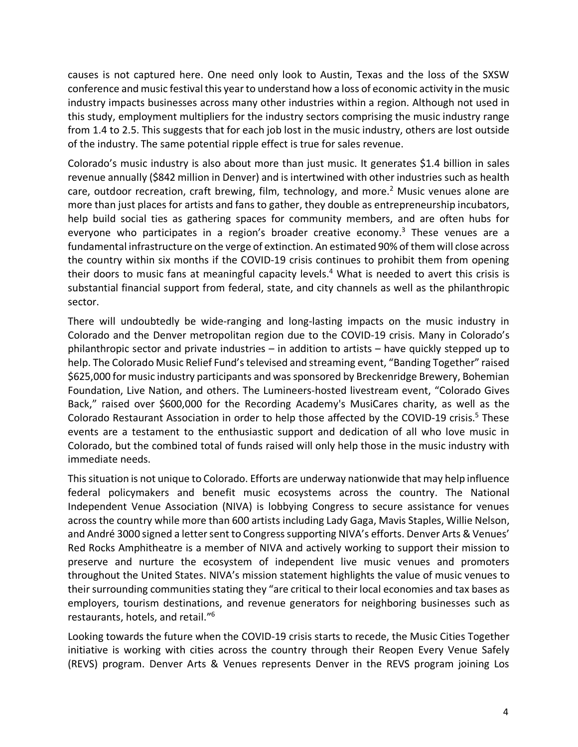causes is not captured here. One need only look to Austin, Texas and the loss of the SXSW conference and music festival this year to understand how a loss of economic activity in the music industry impacts businesses across many other industries within a region. Although not used in this study, employment multipliers for the industry sectors comprising the music industry range from 1.4 to 2.5. This suggests that for each job lost in the music industry, others are lost outside of the industry. The same potential ripple effect is true for sales revenue.

Colorado's music industry is also about more than just music. It generates \$1.4 billion in sales revenue annually (\$842 million in Denver) and is intertwined with other industries such as health care, outdoor recreation, craft brewing, film, technology, and more.<sup>2</sup> Music venues alone are more than just places for artists and fans to gather, they double as entrepreneurship incubators, help build social ties as gathering spaces for community members, and are often hubs for everyone who participates in a region's broader creative economy.<sup>3</sup> These venues are a fundamental infrastructure on the verge of extinction. An estimated 90% of them will close across the country within six months if the COVID-19 crisis continues to prohibit them from opening their doors to music fans at meaningful capacity levels. <sup>4</sup> What is needed to avert this crisis is substantial financial support from federal, state, and city channels as well as the philanthropic sector.

There will undoubtedly be wide-ranging and long-lasting impacts on the music industry in Colorado and the Denver metropolitan region due to the COVID-19 crisis. Many in Colorado's philanthropic sector and private industries – in addition to artists – have quickly stepped up to help. The Colorado Music Relief Fund's televised and streaming event, "Banding Together" raised \$625,000 for music industry participants and was sponsored by Breckenridge Brewery, Bohemian Foundation, Live Nation, and others. The Lumineers-hosted livestream event, "Colorado Gives Back," raised over \$600,000 for the Recording Academy's MusiCares charity, as well as the Colorado Restaurant Association in order to help those affected by the COVID-19 crisis.<sup>5</sup> These events are a testament to the enthusiastic support and dedication of all who love music in Colorado, but the combined total of funds raised will only help those in the music industry with immediate needs.

This situation is not unique to Colorado. Efforts are underway nationwide that may help influence federal policymakers and benefit music ecosystems across the country. The National Independent Venue Association (NIVA) is lobbying Congress to secure assistance for venues across the country while more than 600 artists including Lady Gaga, Mavis Staples, Willie Nelson, and André 3000 signed a letter sent to Congress supporting NIVA's efforts. Denver Arts & Venues' Red Rocks Amphitheatre is a member of NIVA and actively working to support their mission to preserve and nurture the ecosystem of independent live music venues and promoters throughout the United States. NIVA's mission statement highlights the value of music venues to their surrounding communities stating they "are critical to their local economies and tax bases as employers, tourism destinations, and revenue generators for neighboring businesses such as restaurants, hotels, and retail."6

Looking towards the future when the COVID-19 crisis starts to recede, the Music Cities Together initiative is working with cities across the country through their Reopen Every Venue Safely (REVS) program. Denver Arts & Venues represents Denver in the REVS program joining Los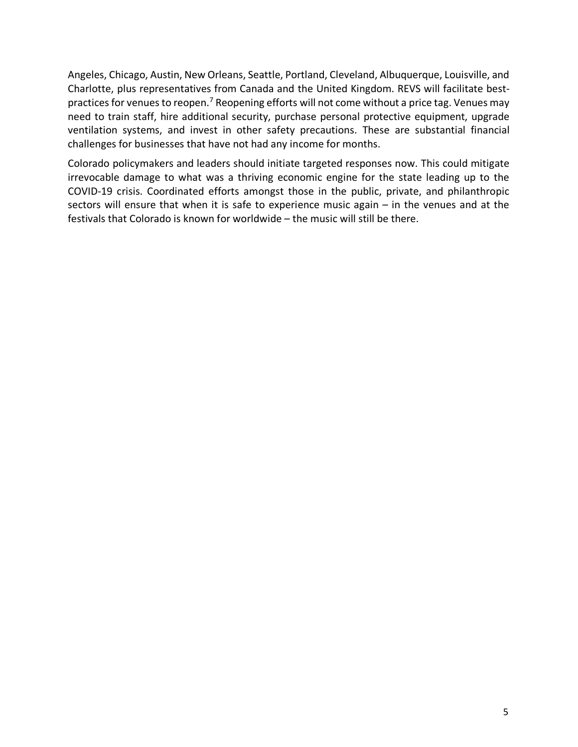Angeles, Chicago, Austin, New Orleans, Seattle, Portland, Cleveland, Albuquerque, Louisville, and Charlotte, plus representatives from Canada and the United Kingdom. REVS will facilitate bestpractices for venues to reopen.<sup>7</sup> Reopening efforts will not come without a price tag. Venues may need to train staff, hire additional security, purchase personal protective equipment, upgrade ventilation systems, and invest in other safety precautions. These are substantial financial challenges for businesses that have not had any income for months.

Colorado policymakers and leaders should initiate targeted responses now. This could mitigate irrevocable damage to what was a thriving economic engine for the state leading up to the COVID-19 crisis. Coordinated efforts amongst those in the public, private, and philanthropic sectors will ensure that when it is safe to experience music again – in the venues and at the festivals that Colorado is known for worldwide – the music will still be there.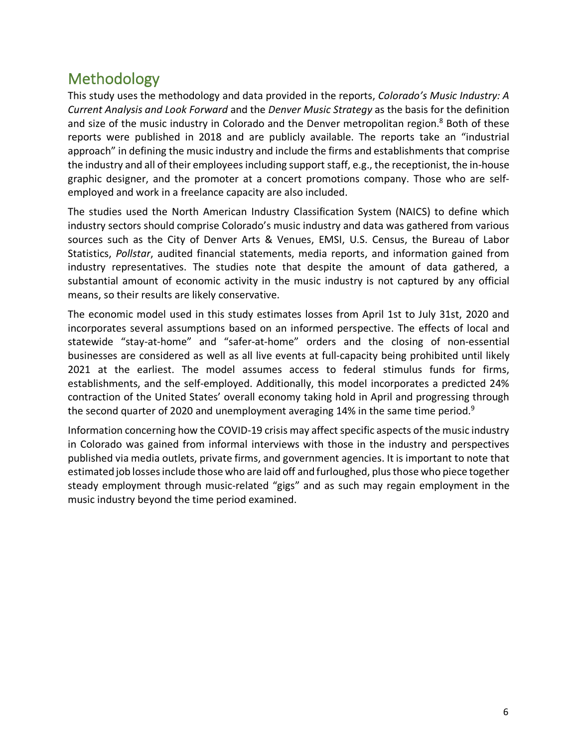# Methodology

This study uses the methodology and data provided in the reports, *Colorado's Music Industry: A Current Analysis and Look Forward* and the *Denver Music Strategy* as the basis for the definition and size of the music industry in Colorado and the Denver metropolitan region.<sup>8</sup> Both of these reports were published in 2018 and are publicly available. The reports take an "industrial approach" in defining the music industry and include the firms and establishments that comprise the industry and all of their employees including support staff, e.g., the receptionist, the in-house graphic designer, and the promoter at a concert promotions company. Those who are selfemployed and work in a freelance capacity are also included.

The studies used the North American Industry Classification System (NAICS) to define which industry sectors should comprise Colorado's music industry and data was gathered from various sources such as the City of Denver Arts & Venues, EMSI, U.S. Census, the Bureau of Labor Statistics, *Pollstar*, audited financial statements, media reports, and information gained from industry representatives. The studies note that despite the amount of data gathered, a substantial amount of economic activity in the music industry is not captured by any official means, so their results are likely conservative.

The economic model used in this study estimates losses from April 1st to July 31st, 2020 and incorporates several assumptions based on an informed perspective. The effects of local and statewide "stay-at-home" and "safer-at-home" orders and the closing of non-essential businesses are considered as well as all live events at full-capacity being prohibited until likely 2021 at the earliest. The model assumes access to federal stimulus funds for firms, establishments, and the self-employed. Additionally, this model incorporates a predicted 24% contraction of the United States' overall economy taking hold in April and progressing through the second quarter of 2020 and unemployment averaging 14% in the same time period.<sup>9</sup>

Information concerning how the COVID-19 crisis may affect specific aspects of the music industry in Colorado was gained from informal interviews with those in the industry and perspectives published via media outlets, private firms, and government agencies. It is important to note that estimated job losses include those who are laid off and furloughed, plus those who piece together steady employment through music-related "gigs" and as such may regain employment in the music industry beyond the time period examined.